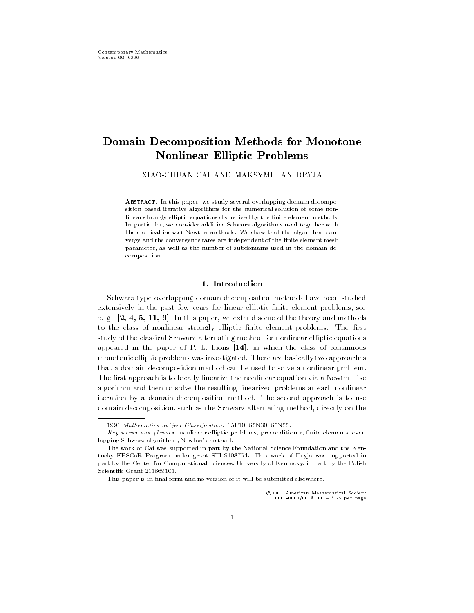# Domain Decomposition Methods for Monotone Nonlinear Elliptic Problems

XIAOCHUAN CAI AND MAKSYMILIAN DRYJA

ABSTRACT. In this paper, we study several overlapping domain decomposition based iterative algorithms for the numerical solution of some nonlinear strongly elliptic equations discretized by the finite element methods. In particular, we consider additive Schwarz algorithms used together with the classical inexact Newton methods We show that the algorithms converge and the convergence rates are independent of the finite element mesh parameter, as well as the number of subdomains used in the domain decomposition

## 1. Introduction

Schwarz type overlapping domain decomposition methods have been studied extensively in the past few years for linear elliptic nite element problems- see e grups and the theory and methods in the third some of the theory and methods and methods of the theory and me to the class of nonlinear strongly elliptic finite element problems. The first study of the classical Schwarz alternating method for nonlinear elliptic equations appeared in the paper of P Lions and Lions and the class of continuous of continuous monotonic elliptic problems was investigated. There are basically two approaches that a domain decomposition method can be used to solve a nonlinear problem The first approach is to locally linearize the nonlinear equation via a Newton-like algorithm and then to solve the resulting linearized problems at each nonlinear iteration by a domain decomposition method. The second approach is to use assessed as the Schwarz alternation-the Schwarz methods method, method-schwarz alternation-

<sup>1991</sup> Mathematics Subject Classification.  $65F10$ ,  $65N30$ ,  $65N55$ .

 $Key~words~and~phrases.$  nonlinear elliptic problems, preconditioner, finite elements, overlapping Schwarz algorithms Newton s method

The work of Cai was supported in part by the National Science Foundation and the Kentucky EPSCOR Program under grant STI-meter was supported in the Drygan supported in the Drygan supported in the D part by the Center for Computational Sciences University of Kentucky in part by the Polish Scientific Grant 211669101.

This paper is in final form and no version of it will be submitted elsewhere.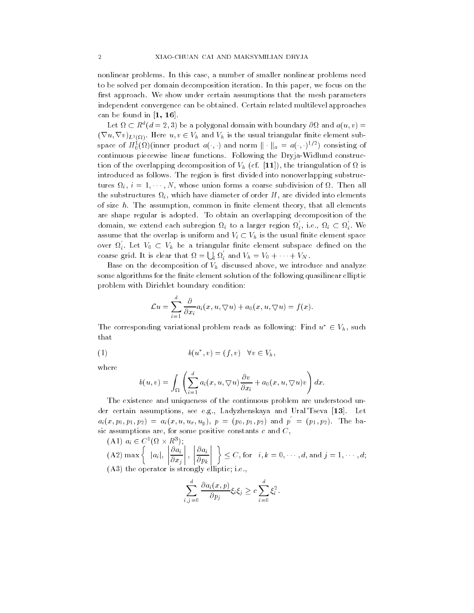nonlinear problems In this case- a number of smaller nonlinear problems need to be solved per domain decomposition iteration In this paper- we focus on the first approach. We show under certain assumptions that the mesh parameters independent convergence can be obtained. Certain related multilevel approaches can be found in  $[1, 16]$ .

Let  $\Omega \subset R^a(d=2,3)$  be a polygonal domain with boundary  $\partial \Omega$  and  $a(u,v) =$  $(\nabla u, \nabla v)_{L^2(\Omega)}$ . Here  $u, v \in V_h$  and  $V_h$  is the usual triangular finite element subspace of  $H_0^1(\Omega)$  (inner product  $a(\cdot, \cdot)$  and norm  $\|\cdot\|_a = a(\cdot, \cdot)^{1/2}$ ) consisting of continuous piecewise linear functions. Following the Dryja-Widlund construction of the overlapping decomposition of  $\mathcal{A}$ introduced as follows. The region is first divided into nonoverlapping substructures  $\alpha_i$ ,  $i = 1, \dots, N$ , whose union forms a coarse subdivision of  $\alpha$ . Then all  $\omega$  . Which have diameter of order H-H-substructures into elements of order H-substructures into elements of order H-substructures in of size h The assumption- common in nite element theory- that all elements are shape regular is adopted. To obtain an overlapping decomposition of the domain, we extend each subregion  $\Omega_i$  to a larger region  $\Omega_i$ , i.e.,  $\Omega_i \subset \Omega_i$ . We assume that the overlap is uniform and  $V_i \subset V_h$  is the usual finite element space over  $\Omega_i$ . Let  $V_0 \subset V_h$  be a triangular finite element subspace defined on the coarse grid. It is clear that  $\Omega = \bigcup_i \Omega_i$  and  $V_h = V_0 + \cdots + V_N$ .

Base on the decomposition of Vh discussed above- we introduce and analyze some algorithms for the finite element solution of the following quasilinear elliptic problem with Dirichlet boundary condition

$$
\mathcal{L}u = \sum_{i=1}^d \frac{\partial}{\partial x_i} a_i(x, u, \nabla u) + a_0(x, u, \nabla u) = f(x).
$$

The corresponding variational problem reads as following: Find  $u^* \in V_h$ , such that

$$
(1) \t b(u^*, v) = (f, v) \quad \forall v \in V_h,
$$

where

$$
b(u, v) = \int_{\Omega} \left( \sum_{i=1}^{d} a_i(x, u, \nabla u) \frac{\partial v}{\partial x_i} + a_0(x, u, \nabla u) v \right) dx.
$$

The existence and uniqueness of the continuous problem are understood un der certain assumptions- see eg- Ladyzhenskaya and UralTseva Let  $a_i(x, p_0, p_1, p_2) = a_i(x, u, u_x, u_y), p = (p_0, p_1, p_2)$  and  $p = (p_1, p_2)$ . The basic assumptions are- for some positive constants c and C- $\mathbb{R}^{3}$ 

(A1) 
$$
a_i \in C^1(\Omega \times R^3);
$$
  
(A2)  $\max \left\{ |a_i|, \left| \frac{\partial a_i}{\partial x_j} \right|, \left| \frac{\partial a_i}{\partial p_k} \right| \right\} \le C$ , for  $i, k = 0, \dots, d$ , and  $j = 1, \dots, d$ ;  
(A3) the operator is strongly elliptic; i.e.,

$$
\sum_{i,j=0}^a \frac{\partial a_i(x,p)}{\partial p_j} \xi_i \xi_j \ge c \sum_{i=0}^a \xi_i^2.
$$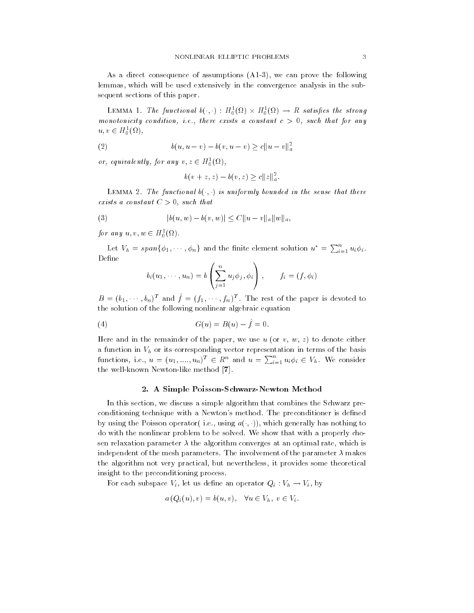As a direct consequence of assumptions A - we can prove the following lemmas- which will be used extensively in the convergence analysis in the sub sequent sections of this paper

LEMMA 1. The functional  $b(\cdot, \cdot): H_0^{\perp}(\Omega) \times H_0^{\perp}(\Omega) \rightarrow K$  satisfies the strong monotonicity condition in the exists a constant c or any constant por any  $\mathbf{y}$  $u, v \in H_0^1(\Omega)$ ,

(2) 
$$
b(u, u - v) - b(v, u - v) \ge c||u - v||_a^2
$$

or, equivalently, for any  $v, z \in H_0^{\perp}(\Omega)$ ,

$$
b(v + z, z) - b(v, z) \geq c ||z||_a^2
$$
.

 $L$  EMMA  $\Delta$  . The functional  $v(\cdot, \cdot)$  is uniforming bounded in the sense that there exists a constant  $C > 0$ , such that

(3) 
$$
|b(u, w) - b(v, w)| \leq C ||u - v||_a ||w||_a,
$$

for any  $u, v, w \in H_0^1(\Omega)$ .

Let  $V_h = span\{\phi_1, \cdots, \phi_n\}$  and the finite element solution  $u^* = \sum_{i=1}^n u_i \phi_i$ . Define

$$
b_i(u_1,\dots, u_n)=b\left(\sum_{j=1}^n u_j\phi_j,\phi_i\right),\qquad f_i=(f,\phi_i)
$$

 $B = (b_1, \dots, b_n)^+$  and  $f = (f_1, \dots, f_n)^+$ . The rest of the paper is devoted to the solution of the following nonlinear algebraic equation

(4) 
$$
G(u) = B(u) - \hat{f} = 0.
$$

Here and in the remainder of the paper- we use u or v- w- z to denote either a function in  $V<sub>h</sub>$  or its corresponding vector representation in terms of the basis functions, i.e.,  $u = (u_1, ..., u_n)^T \in R^n$  and  $u = \sum_{i=1}^n u_i \phi_i \in V_h$ . We consider the well-known Newton-like method [7].

### - A Simple Poisson Schwarz Newton Method

In this section- we discuss a simple algorithm that combines the Schwarz pre conditioning technique with a Newton's method. The preconditioner is defined by using the Poisson operator (Fig. using  $a(\cdot, \cdot)$ ), which generally has nothing to do with the nonlinear problem to be solved. We show that with a properly chosen relationship parameters in the algorithm converges at an optimal rates, which is independent of the mesh parameters. The involvement of the parameter  $\lambda$  makes the algorithm not very practical- but nevertheless- it provides some theoretical insight to the preconditioning process

For each subspace  $V_i$ , let us define an operator  $Q_i: V_h \to V_i$ , by

$$
a(Q_i(u), v) = b(u, v), \quad \forall u \in V_h, v \in V_i.
$$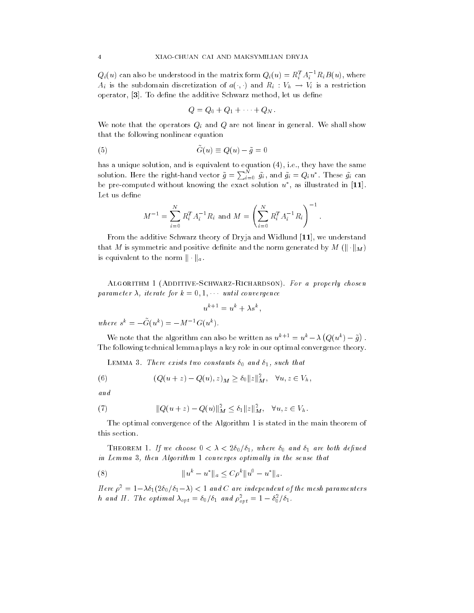$Q_i(u)$  can also be understood in the matrix form  $Q_i(u) = R_i^* A_i^* R_i B(u)$ , where  $A_i$  is the subdomain discretization of  $a(\cdot, \cdot)$  and  $R_i : V_h \rightarrow V_i$  is a restriction operator- To dene the additive Schwarz method- let us dene

$$
Q = Q_0 + Q_1 + \cdots + Q_N.
$$

We note that the operators  $Q_i$  and  $Q$  are not linear in general. We shall show that the following nonlinear equation

$$
(5) \tG(u) \equiv Q(u) - \tilde{g} = 0
$$

has a unique solution- and is equivalent to equation - ie- they have the same solution. Here the right-hand vector  $\tilde{g} = \sum_{i=0}^{N} \tilde{g_i}$ , and  $\tilde{g_i} = Q_i u^*$ . These  $\tilde{g_i}$  can be pre-computed without knowing the exact solution  $u$  , as inustrated in  $|11|$ . Let us define

$$
M^{-1} = \sum_{i=0}^{N} R_i^T A_i^{-1} R_i
$$
 and 
$$
M = \left(\sum_{i=0}^{N} R_i^T A_i^{-1} R_i\right)^{-1}.
$$

From the additive Schwarz theory of Dryja and Widlund - we understand that M is symmetric and positive definite and the norm generated by M  $(\|\cdot\|_M)$ is equivalent to the norm  $\|\cdot\|_a$ .

ALGORITHM 1 (ADDITIVE-SCHWARZ-RICHARDSON). For a properly chosen  $p$ arameter  $\Delta$ , tterate for  $\kappa = 0, 1, \cdots$  antit convergence

$$
u^{k+1} = u^k + \lambda s^k,
$$

where  $s^{\circ} = -G(u^{\circ}) = -M - G(u^{\circ}).$ 

We note that the algorithm can also be written as  $u^{k+1} = u^k - \lambda (Q(u^k) - \tilde{q})$ . The following technical lemma plays a key role in our optimal convergence theory

Lemma There exists two constants and such that

(6) 
$$
(Q(u+z) - Q(u), z)_M \ge \delta_0 ||z||_M^2, \quad \forall u, z \in V_h,
$$

and

(7) 
$$
||Q(u+z) - Q(u)||_M^2 \leq \delta_1 ||z||_M^2, \quad \forall u, z \in V_h.
$$

The optimal convergence of the Algorithm 1 is stated in the main theorem of this section

THEOREM 1. If we choose  $0 < \lambda < 2\delta_0/\delta_1$ , where  $\delta_0$  and  $\delta_1$  are both defined in mainten of hear angeling in the sense gas approximally in the sense that

(8) 
$$
||u^k - u^*||_a \leq C \rho^k ||u^0 - u^*||_a.
$$

Here  $\rho^- = 1 - \lambda o_1 (2 o_0 / o_1 - \lambda) < 1$  and  $\cup$  are independent of the mesh paramenters n ana H. Ine optimal  $\lambda_{opt} = o_0 / o_1$  and  $\rho_{opt}^- = 1 - o_0^- / o_1$ .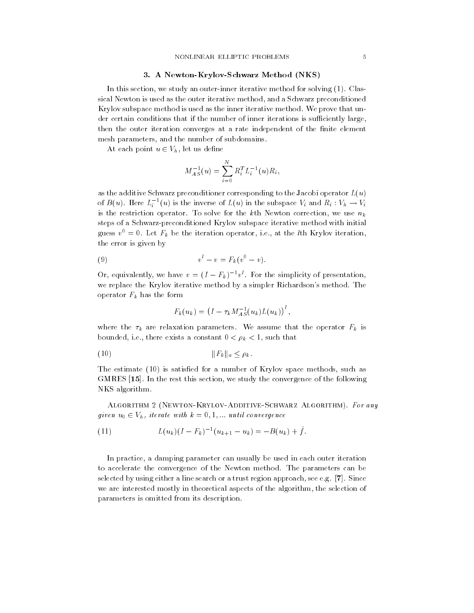#### A Newton Krylov Schwarz Method NKS

In this section- we study an outerinner iterative method for solving  Clas sical Newton is used as the outer iterative method- and a Schwarz preconditioned Krylov subspace method is used as the inner iterative method. We prove that under certain conditions that if the number of inner iterations is sufficiently large, then the outer iteration converges at a rate independent of the finite element mesh parameters- and the number of subdomains

At each point  $u \in V_h$ , let us define

$$
M_{AS}^{-1}(u) = \sum_{i=0}^{N} R_i^T L_i^{-1}(u) R_i,
$$

as the additive Schwarz preconditioner corresponding to the Jacobi operator  $L(u)$ of  $B(u)$ . Here  $L_i^{-1}(u)$  is the inverse of  $L(u)$  in the subspace  $V_i$  and  $R_i: V_h \to V_i$ is the restriction operator To solve for the kth Newton correction- we use nk steps of a Schwarz-preconditioned Krylov subspace iterative method with initial guess  $v^* = 0$ . Let  $F_k$  be the iteration operator, i.e., at the  $\iota$ th Krylov iteration, the error is given by

(9) 
$$
v^{l} - v = F_{k}(v^{0} - v).
$$

Or, equivalently, we have  $v = (I - F_k)$  for the simplicity of presentation, we replace the Krylov iterative method by a simpler Richardson's method. The operator  $F_k$  has the form

$$
F_k(u_k) = \left(I - \tau_k M_{AS}^{-1}(u_k)L(u_k)\right)^t,
$$

where the  $\tau_k$  are relaxation parameters. We assume that the operator  $F_k$  is bounded-bounded-bounded-bounded-bounded-bounded-bounded-bounded-bounded-bounded-bounded-bounded-bound-bounded-

$$
||F_k||_a \le \rho_k.
$$

The estimate is satisfactor of  $\mathcal{N}$  as a number of Krylov space methods-weight of Krylov space methods-weight  $\mathcal{N}$ General properties and the section-the convergence of the following the following the following the following the following the following the following the following the following the following the following the following NKS algorithm

ALGORITHM 2 (NEWTON-KRYLOV-ADDITIVE-SCHWARZ ALGORITHM). For any given  $u_0 \in V_h$ , iterate with  $k = 0, 1, ...$  until convergence

(11) 
$$
L(u_k)(I - F_k)^{-1}(u_{k+1} - u_k) = -B(u_k) + f.
$$

In practice- a damping parameter can usually be used in each outer iteration to accelerate the convergence of the Newton method. The parameters can be selected by using either a line search or a trust region approach- and trust region approach- approach- approachwe are interested mostly in the algorithm-selection of the algorithm-selection of the algorithm-selection of the algorithm-selection of the algorithm-selection of the algorithm-selection of the selection of the selection parameters is omitted from its description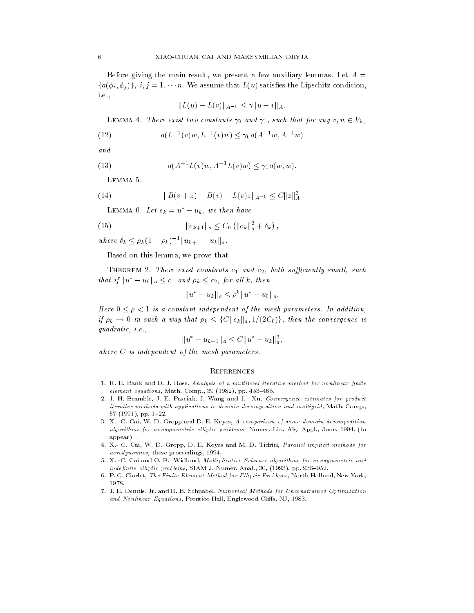Before giving the main result- we present a few auxiliary lemmas Let A  $\{a(\phi_i, \phi_j)\}, i, j = 1, \cdots n$ . We assume that  $L(u)$  satisfies the Lipschitz condition, ie-

$$
||L(u) - L(v)||_{A^{-1}} \le \gamma ||u - v||_A.
$$

LEMMA 4. There exist two constants  $\gamma_0$  and  $\gamma_1$ , such that for any  $v, w \in V_h$ ,

(12) 
$$
a(L^{-1}(v)w, L^{-1}(v)w) \leq \gamma_0 a(A^{-1}w, A^{-1}w)
$$

and

(13) 
$$
a(A^{-1}L(v)w, A^{-1}L(v)w) \leq \gamma_1 a(w, w).
$$

LEMMA 5.

(14) 
$$
||B(v+z) - B(v) - L(v)z||_{A^{-1}} \leq C||z||_A^2
$$

LEMMA 6. Let  $e_k = u^* - u_k$ , we then have

(15) 
$$
\|e_{k+1}\|_a \leq C_0 \left( \|e_k\|_a^2 + \delta_k \right),
$$

where  $\delta_k \leq \rho_k (1 - \rho_k)^{-1} ||u_{k+1} - u_k||_a$ .

we was a well-between the prove that is a set of the set of the set of the set of the set of the set of the set of the set of the set of the set of the set of the set of the set of the set of the set of the set of the set

THEOREM 2. There exist constants  $c_1$  and  $c_2$ , both sufficiently small, such that if  $||u^* - u_0||_a \leq c_1$  and  $\rho_k \leq c_2$ , for all k, then

$$
||u^*-u_k||_a\leq \rho^k||u^*-u_0||_a.
$$

Here  $0 \leq \rho < 1$  is a constant independent of the mesh parameters. In addition, if  $\rho_k \to 0$  in such a way that  $\rho_k \leq \{C \|e_k\|_a, 1/(2C_0)\},$  then the convergence is quadratic isothermore, and the contract of the contract of the contract of the contract of the contract of the contract of the contract of the contract of the contract of the contract of the contract of the contract of the

$$
||u^* - u_{k+1}||_a \leq C||u^* - u_k||_a^2,
$$

where  $C$  is independent of the mesh parameters

#### **REFERENCES**

- 1. R. E. Bank and D. J. Rose, Analysis of a multilevel iterative method for nonlinear finite  $element$  equations, Math. Comp., 39 (1982), pp. 453-465.
- 2. J. H. Bramble, J. E. Pasciak, J. Wang and J. Xu, Convergence estimates for product iterative methods with applications to domain decomposition and multigrid-parameter of the pro  $57(1991), pp. 1-22.$
- ar aar was week also was well well was also also and the some processes and also well was also also also also algorithms for nonsymmetric electronic problems-liptic problems-liptic problemsappear
- X- C Cai W D Gropp D E Keyes and M D Tidriri Paral lel implicit methods for  $a$ erodynamics, these proceedings, 1994.
- X -C Cai and O B Widlund Multiplicative Schwarz algorithms for nonsymmetric and  $indefinite$  elliptic problems, SIAM J. Numer. Anal., 30, (1993), pp. 936-952.
- P G Ciarlet The Finite Element Method for El liptic Problems North-Holland New York 1978.
- J E Dennis Jr and R B Schnabel Numerical Methods for Unconstrained Optimization and I is a constant and present in the present compared that the company of the state of the state of the state of the state of the state of the state of the state of the state of the state of the state of the state of the